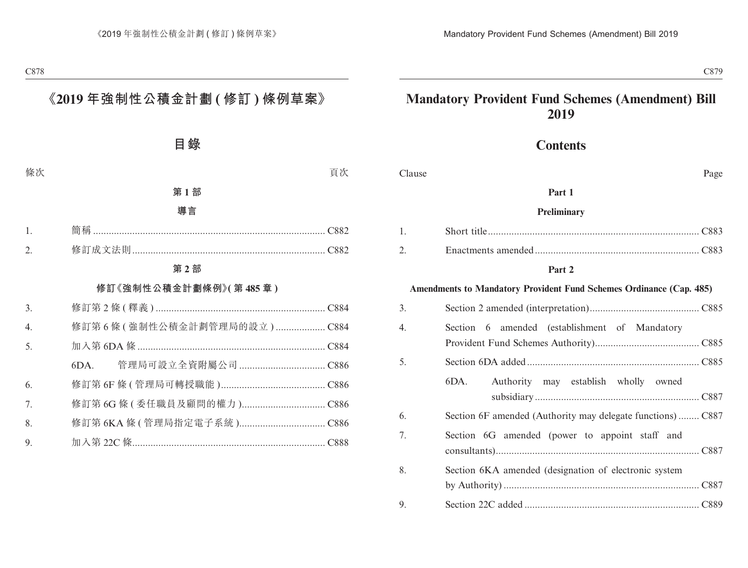# **Mandatory Provident Fund Schemes (Amendment) Bill 2019**

# **Contents**

| Clause           | Page                                                                |  |  |  |  |
|------------------|---------------------------------------------------------------------|--|--|--|--|
|                  | Part 1                                                              |  |  |  |  |
| Preliminary      |                                                                     |  |  |  |  |
| 1.               |                                                                     |  |  |  |  |
| 2.               |                                                                     |  |  |  |  |
|                  | Part 2                                                              |  |  |  |  |
|                  | Amendments to Mandatory Provident Fund Schemes Ordinance (Cap. 485) |  |  |  |  |
| 3.               |                                                                     |  |  |  |  |
| $\overline{4}$ . | Section 6 amended (establishment of Mandatory                       |  |  |  |  |
|                  |                                                                     |  |  |  |  |
| 5.               |                                                                     |  |  |  |  |
|                  | Authority may establish wholly owned<br>6DA.                        |  |  |  |  |
|                  |                                                                     |  |  |  |  |
| 6.               | Section 6F amended (Authority may delegate functions) C887          |  |  |  |  |
| 7.               | Section 6G amended (power to appoint staff and                      |  |  |  |  |
|                  |                                                                     |  |  |  |  |
| 8.               | Section 6KA amended (designation of electronic system               |  |  |  |  |
|                  |                                                                     |  |  |  |  |
| 9.               |                                                                     |  |  |  |  |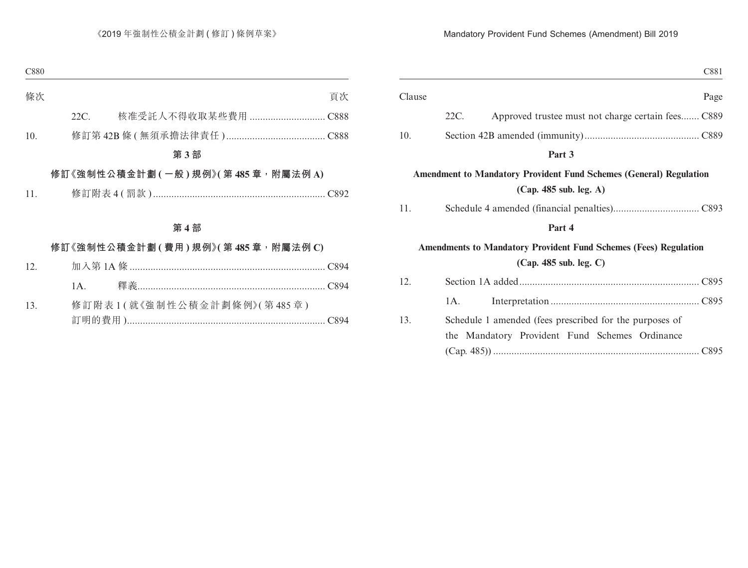| C881                                                                                                      |
|-----------------------------------------------------------------------------------------------------------|
| Page                                                                                                      |
| Approved trustee must not charge certain fees C889                                                        |
|                                                                                                           |
|                                                                                                           |
| <b>Amendment to Mandatory Provident Fund Schemes (General) Regulation</b>                                 |
|                                                                                                           |
|                                                                                                           |
| <b>Amendments to Mandatory Provident Fund Schemes (Fees) Regulation</b>                                   |
|                                                                                                           |
|                                                                                                           |
| Schedule 1 amended (fees prescribed for the purposes of<br>the Mandatory Provident Fund Schemes Ordinance |
|                                                                                                           |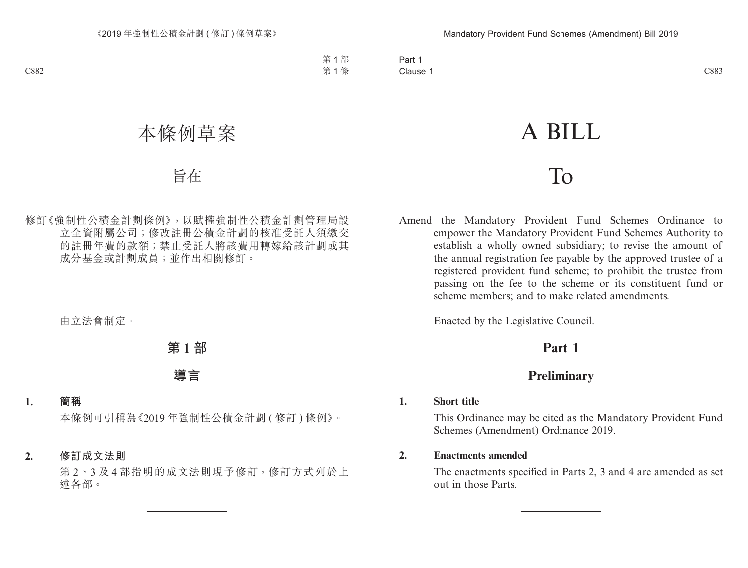# A BILL

# To

Amend the Mandatory Provident Fund Schemes Ordinance to empower the Mandatory Provident Fund Schemes Authority to establish a wholly owned subsidiary; to revise the amount of the annual registration fee payable by the approved trustee of a registered provident fund scheme; to prohibit the trustee from passing on the fee to the scheme or its constituent fund or scheme members; and to make related amendments.

Enacted by the Legislative Council.

# **Part 1**

# **Preliminary**

# **1. Short title**

This Ordinance may be cited as the Mandatory Provident Fund Schemes (Amendment) Ordinance 2019.

## **2. Enactments amended**

The enactments specified in Parts 2, 3 and 4 are amended as set out in those Parts.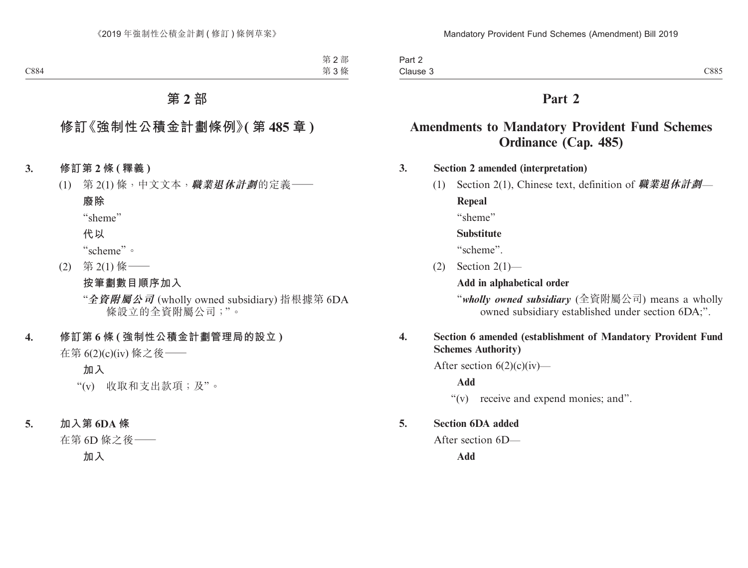| Part 2   |      |
|----------|------|
| Clause 3 | C885 |

# **Part 2**

# **Amendments to Mandatory Provident Fund Schemes Ordinance (Cap. 485)**

# **3. Section 2 amended (interpretation)**

(1) Section 2(1), Chinese text, definition of **職業退休計劃**—

**Repeal**

"sheme"

#### **Substitute**

"scheme".

(2) Section 2(1)—

**Add in alphabetical order**

"*wholly owned subsidiary* (全資附屬公司) means a wholly owned subsidiary established under section 6DA;".

# **4. Section 6 amended (establishment of Mandatory Provident Fund Schemes Authority)**

After section  $6(2)(c)(iv)$ —

**Add**

"(v) receive and expend monies; and".

#### **5. Section 6DA added**

After section 6D—

**Add**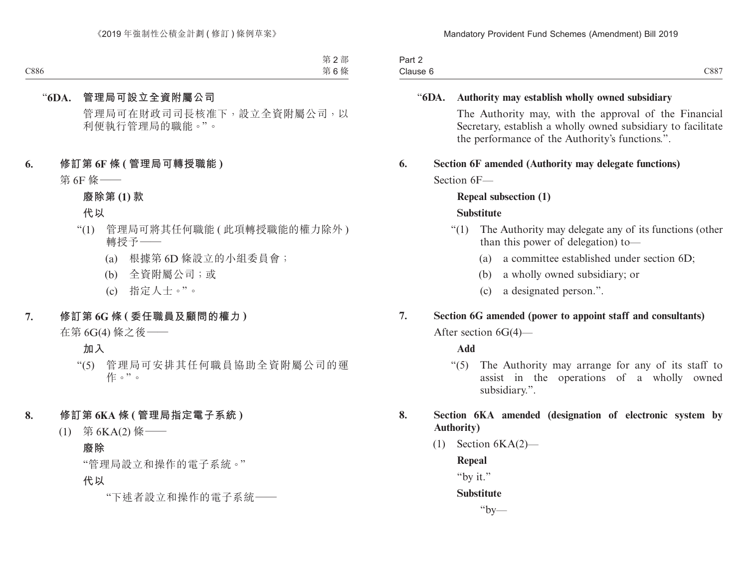| $\overline{\phantom{a}}$<br>Part 2 |      |
|------------------------------------|------|
| Clause 6                           | C887 |

## "**6DA. Authority may establish wholly owned subsidiary**

The Authority may, with the approval of the Financial Secretary, establish a wholly owned subsidiary to facilitate the performance of the Authority's functions.".

## **6. Section 6F amended (Authority may delegate functions)**

Section 6F—

# **Repeal subsection (1)**

#### **Substitute**

- "(1) The Authority may delegate any of its functions (other than this power of delegation) to—
	- (a) a committee established under section 6D;
	- (b) a wholly owned subsidiary; or
	- (c) a designated person.".

# **7. Section 6G amended (power to appoint staff and consultants)**

After section 6G(4)—

#### **Add**

"(5) The Authority may arrange for any of its staff to assist in the operations of a wholly owned subsidiary.".

# **8. Section 6KA amended (designation of electronic system by Authority)**

 $(1)$  Section  $6KA(2)$ —

**Repeal**

"by it."

#### **Substitute**

 $"bv$ —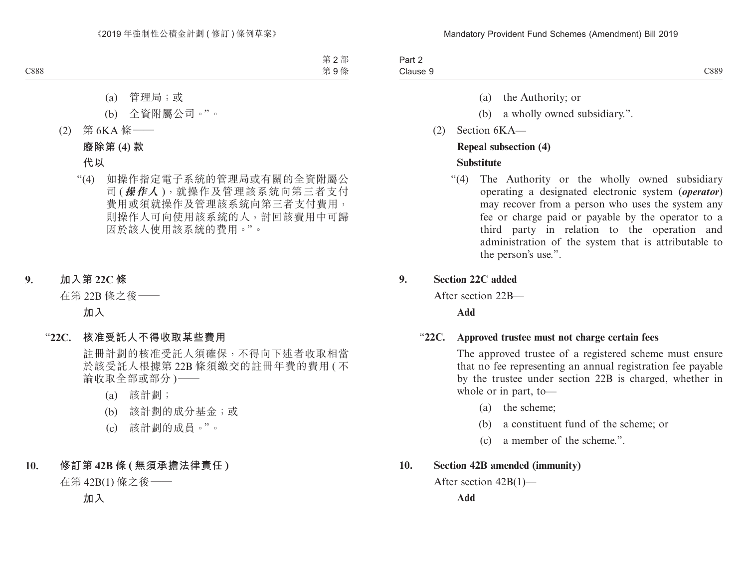| Part 2   |      |
|----------|------|
| Clause & | C889 |

- (a) the Authority; or
- (b) a wholly owned subsidiary.".
- (2) Section 6KA—

#### **Repeal subsection (4)**

## **Substitute**

"(4) The Authority or the wholly owned subsidiary operating a designated electronic system (*operator*) may recover from a person who uses the system any fee or charge paid or payable by the operator to a third party in relation to the operation and administration of the system that is attributable to the person's use.".

# **9. Section 22C added**

After section 22B—

**Add**

## "**22C. Approved trustee must not charge certain fees**

The approved trustee of a registered scheme must ensure that no fee representing an annual registration fee payable by the trustee under section 22B is charged, whether in whole or in part, to—

- (a) the scheme;
- (b) a constituent fund of the scheme; or
- (c) a member of the scheme.".

# **10. Section 42B amended (immunity)**

After section 42B(1)—

**Add**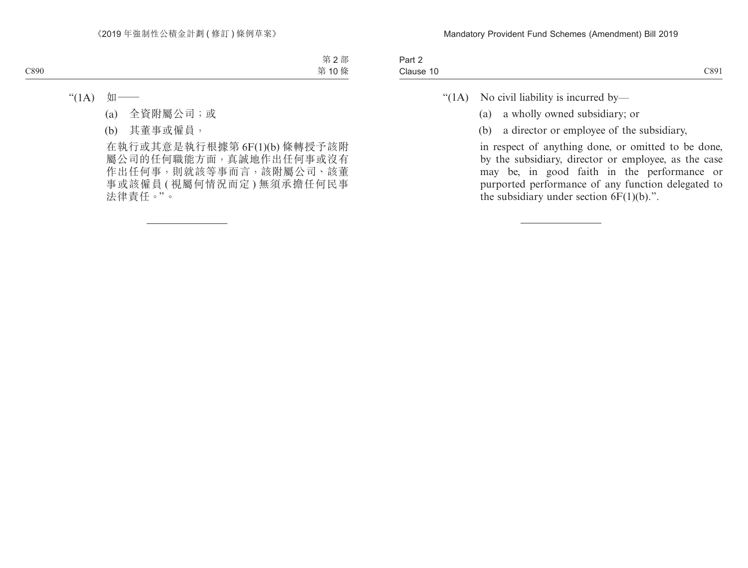| Part ∠         |      |
|----------------|------|
| Clause<br>-1 U | C891 |

"( $1A$ ) No civil liability is incurred by—

- (a) a wholly owned subsidiary; or
- (b) a director or employee of the subsidiary,

in respect of anything done, or omitted to be done, by the subsidiary, director or employee, as the case may be, in good faith in the performance or purported performance of any function delegated to the subsidiary under section  $6F(1)(b)$ .".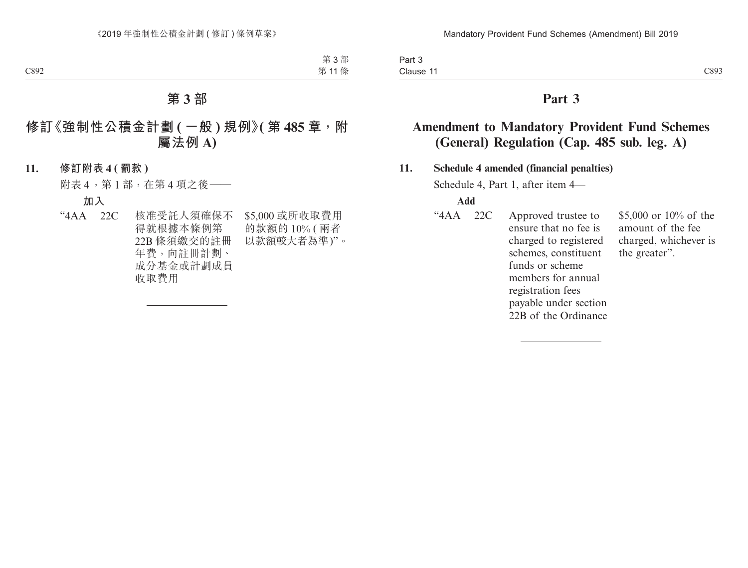Part 3 Clause 11 Clause 11 and 200 and 200 and 200 and 200 and 200 and 200 and 200 and 200 and 200 and 200 and 200 and 200 and 200 and 200 and 200 and 200 and 200 and 200 and 200 and 200 and 200 and 200 and 200 and 200 and 200 and 200 and

# **Part 3**

# **Amendment to Mandatory Provident Fund Schemes (General) Regulation (Cap. 485 sub. leg. A)**

## **11. Schedule 4 amended (financial penalties)**

Schedule 4, Part 1, after item 4—

#### **Add**

"4AA 22C Approved trustee to ensure that no fee is charged to registered schemes, constituent funds or scheme members for annual registration fees payable under section 22B of the Ordinance \$5,000 or 10% of the amount of the fee charged, whichever is the greater".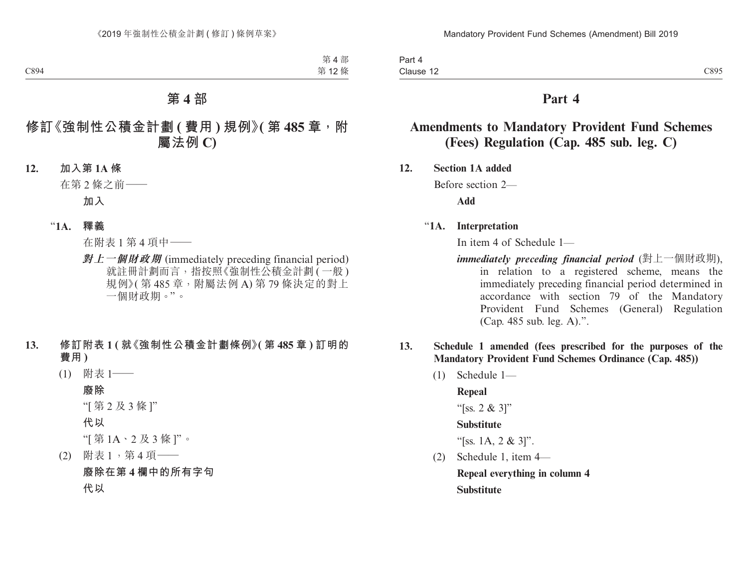Part 4 Clause 12  $\text{Clause } 12$   $\text{C895}$ 

# **Part 4**

# **Amendments to Mandatory Provident Fund Schemes (Fees) Regulation (Cap. 485 sub. leg. C)**

**12. Section 1A added**

Before section 2—

**Add**

## "**1A. Interpretation**

In item 4 of Schedule 1—

- *immediately preceding financial period* (對上一個財政期), in relation to a registered scheme, means the immediately preceding financial period determined in accordance with section 79 of the Mandatory Provident Fund Schemes (General) Regulation (Cap. 485 sub. leg. A).".
- **13. Schedule 1 amended (fees prescribed for the purposes of the Mandatory Provident Fund Schemes Ordinance (Cap. 485))**
	- (1) Schedule 1—

**Repeal**

"[ss. 2 & 3]"

#### **Substitute**

"[ss. 1A, 2 & 3]".

(2) Schedule 1, item 4— **Repeal everything in column 4 Substitute**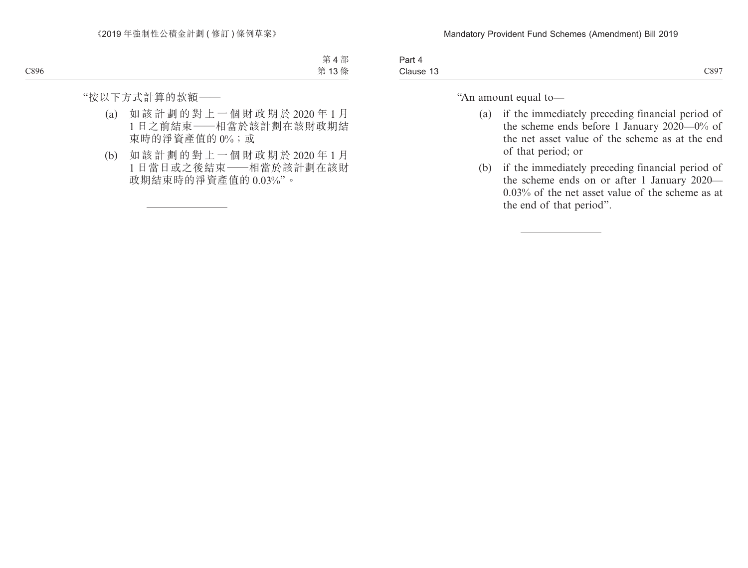| 3 <sub>cm</sub><br>″art<br>.<br>$\cdots$ |      |
|------------------------------------------|------|
| Clause 13                                | C897 |

"An amount equal to—

- (a) if the immediately preceding financial period of the scheme ends before 1 January 2020—0% of the net asset value of the scheme as at the end of that period; or
- (b) if the immediately preceding financial period of the scheme ends on or after 1 January 2020— 0.03% of the net asset value of the scheme as at the end of that period".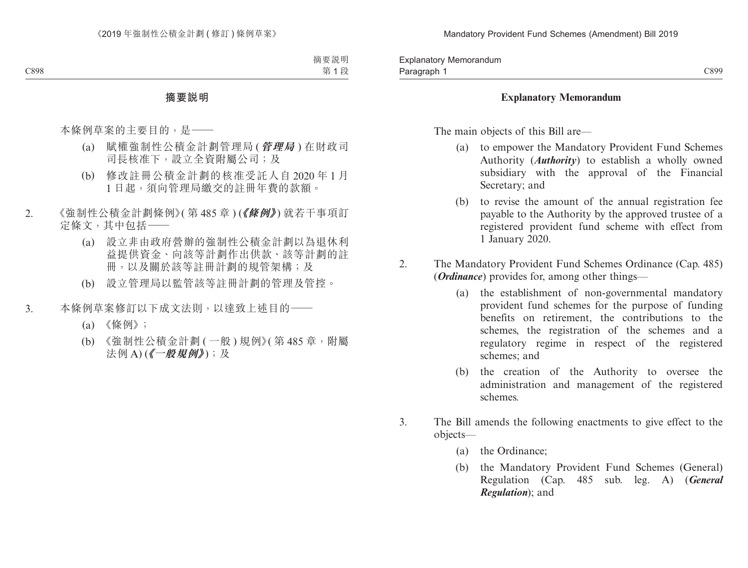## **Explanatory Memorandum**

The main objects of this Bill are—

- (a) to empower the Mandatory Provident Fund Schemes Authority (*Authority*) to establish a wholly owned subsidiary with the approval of the Financial Secretary; and
- (b) to revise the amount of the annual registration fee payable to the Authority by the approved trustee of a registered provident fund scheme with effect from 1 January 2020.
- 2. The Mandatory Provident Fund Schemes Ordinance (Cap. 485) (*Ordinance*) provides for, among other things—
	- (a) the establishment of non-governmental mandatory provident fund schemes for the purpose of funding benefits on retirement, the contributions to the schemes, the registration of the schemes and a regulatory regime in respect of the registered schemes; and
	- (b) the creation of the Authority to oversee the administration and management of the registered schemes.
- 3. The Bill amends the following enactments to give effect to the objects—
	- (a) the Ordinance;
	- (b) the Mandatory Provident Fund Schemes (General) Regulation (Cap. 485 sub. leg. A) (*General Regulation*); and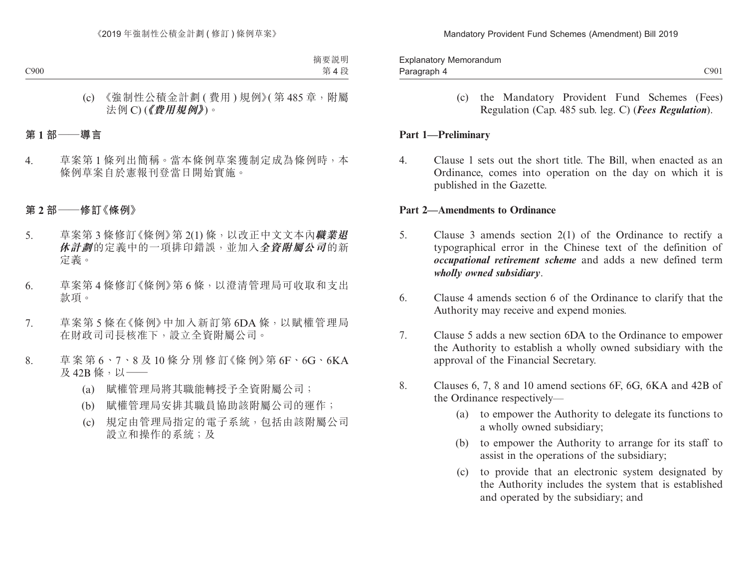Paragraph 4 and 2001 and 2001 and 2001 and 2001 and 2001 and 2001 and 2001 and 2001 and 2001 and 2001 and 2001 Explanatory Memorandum Paragraph 4

> (c) the Mandatory Provident Fund Schemes (Fees) Regulation (Cap. 485 sub. leg. C) (*Fees Regulation*).

## **Part 1—Preliminary**

4. Clause 1 sets out the short title. The Bill, when enacted as an Ordinance, comes into operation on the day on which it is published in the Gazette.

#### **Part 2—Amendments to Ordinance**

- 5. Clause 3 amends section 2(1) of the Ordinance to rectify a typographical error in the Chinese text of the definition of *occupational retirement scheme* and adds a new defined term *wholly owned subsidiary*.
- 6. Clause 4 amends section 6 of the Ordinance to clarify that the Authority may receive and expend monies.
- 7. Clause 5 adds a new section 6DA to the Ordinance to empower the Authority to establish a wholly owned subsidiary with the approval of the Financial Secretary.
- 8. Clauses 6, 7, 8 and 10 amend sections 6F, 6G, 6KA and 42B of the Ordinance respectively—
	- (a) to empower the Authority to delegate its functions to a wholly owned subsidiary;
	- (b) to empower the Authority to arrange for its staff to assist in the operations of the subsidiary;
	- (c) to provide that an electronic system designated by the Authority includes the system that is established and operated by the subsidiary; and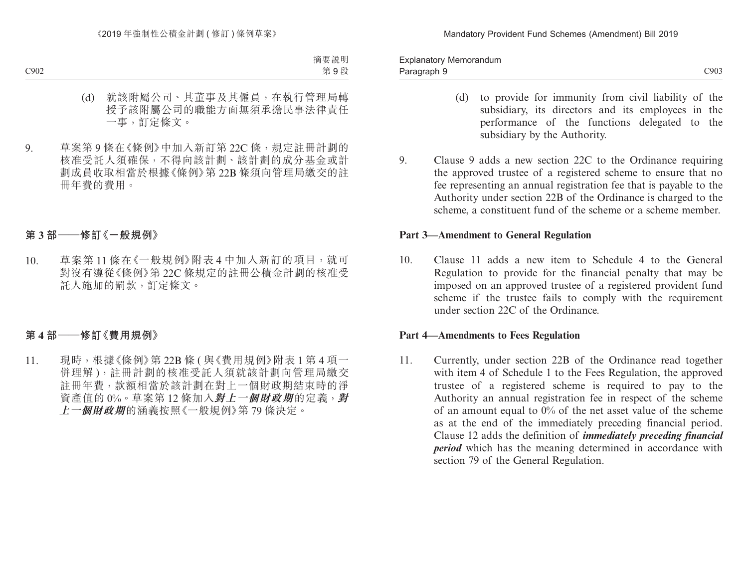Paragraph 9 and 2002 C903 Explanatory Memorandum Paragraph 9

- (d) to provide for immunity from civil liability of the subsidiary, its directors and its employees in the performance of the functions delegated to the subsidiary by the Authority.
- 9. Clause 9 adds a new section 22C to the Ordinance requiring the approved trustee of a registered scheme to ensure that no fee representing an annual registration fee that is payable to the Authority under section 22B of the Ordinance is charged to the scheme, a constituent fund of the scheme or a scheme member.

#### **Part 3—Amendment to General Regulation**

10. Clause 11 adds a new item to Schedule 4 to the General Regulation to provide for the financial penalty that may be imposed on an approved trustee of a registered provident fund scheme if the trustee fails to comply with the requirement under section 22C of the Ordinance.

#### **Part 4—Amendments to Fees Regulation**

11. Currently, under section 22B of the Ordinance read together with item 4 of Schedule 1 to the Fees Regulation, the approved trustee of a registered scheme is required to pay to the Authority an annual registration fee in respect of the scheme of an amount equal to 0% of the net asset value of the scheme as at the end of the immediately preceding financial period. Clause 12 adds the definition of *immediately preceding financial period* which has the meaning determined in accordance with section 79 of the General Regulation.